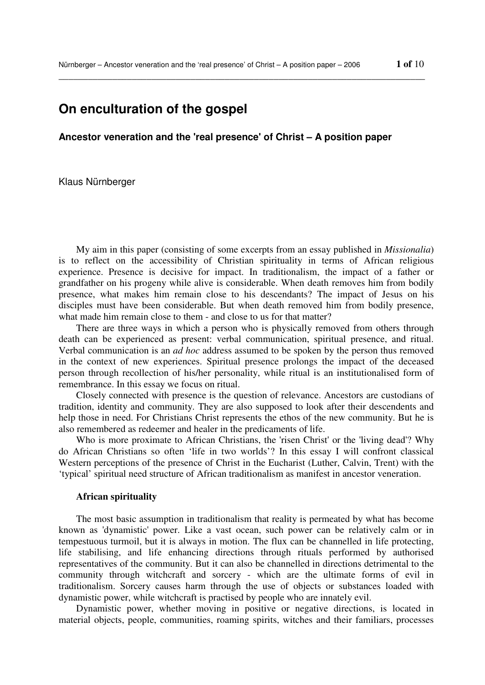# **On enculturation of the gospel**

**Ancestor veneration and the 'real presence' of Christ – A position paper** 

\_\_\_\_\_\_\_\_\_\_\_\_\_\_\_\_\_\_\_\_\_\_\_\_\_\_\_\_\_\_\_\_\_\_\_\_\_\_\_\_\_\_\_\_\_\_\_\_\_\_\_\_\_\_\_\_\_\_\_\_\_\_\_\_\_\_\_\_\_\_\_\_\_\_\_

Klaus Nürnberger

My aim in this paper (consisting of some excerpts from an essay published in *Missionalia*) is to reflect on the accessibility of Christian spirituality in terms of African religious experience. Presence is decisive for impact. In traditionalism, the impact of a father or grandfather on his progeny while alive is considerable. When death removes him from bodily presence, what makes him remain close to his descendants? The impact of Jesus on his disciples must have been considerable. But when death removed him from bodily presence, what made him remain close to them - and close to us for that matter?

There are three ways in which a person who is physically removed from others through death can be experienced as present: verbal communication, spiritual presence, and ritual. Verbal communication is an *ad hoc* address assumed to be spoken by the person thus removed in the context of new experiences. Spiritual presence prolongs the impact of the deceased person through recollection of his/her personality, while ritual is an institutionalised form of remembrance. In this essay we focus on ritual.

Closely connected with presence is the question of relevance. Ancestors are custodians of tradition, identity and community. They are also supposed to look after their descendents and help those in need. For Christians Christ represents the ethos of the new community. But he is also remembered as redeemer and healer in the predicaments of life.

Who is more proximate to African Christians, the 'risen Christ' or the 'living dead'? Why do African Christians so often 'life in two worlds'? In this essay I will confront classical Western perceptions of the presence of Christ in the Eucharist (Luther, Calvin, Trent) with the 'typical' spiritual need structure of African traditionalism as manifest in ancestor veneration.

# **African spirituality**

The most basic assumption in traditionalism that reality is permeated by what has become known as 'dynamistic' power. Like a vast ocean, such power can be relatively calm or in tempestuous turmoil, but it is always in motion. The flux can be channelled in life protecting, life stabilising, and life enhancing directions through rituals performed by authorised representatives of the community. But it can also be channelled in directions detrimental to the community through witchcraft and sorcery - which are the ultimate forms of evil in traditionalism. Sorcery causes harm through the use of objects or substances loaded with dynamistic power, while witchcraft is practised by people who are innately evil.

Dynamistic power, whether moving in positive or negative directions, is located in material objects, people, communities, roaming spirits, witches and their familiars, processes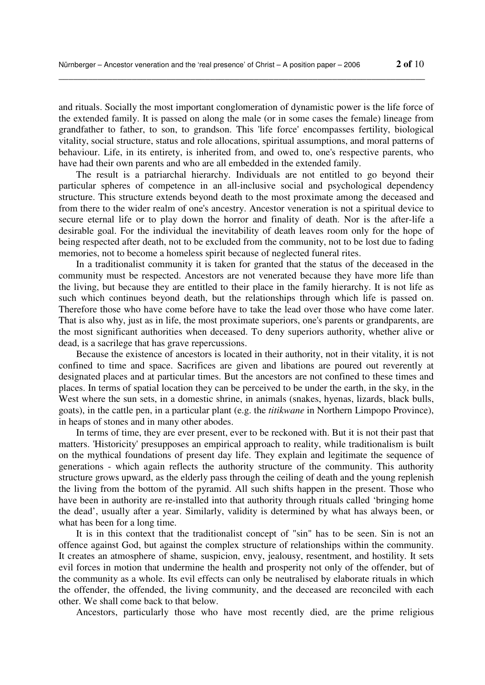and rituals. Socially the most important conglomeration of dynamistic power is the life force of the extended family. It is passed on along the male (or in some cases the female) lineage from grandfather to father, to son, to grandson. This 'life force' encompasses fertility, biological vitality, social structure, status and role allocations, spiritual assumptions, and moral patterns of behaviour. Life, in its entirety, is inherited from, and owed to, one's respective parents, who have had their own parents and who are all embedded in the extended family.

\_\_\_\_\_\_\_\_\_\_\_\_\_\_\_\_\_\_\_\_\_\_\_\_\_\_\_\_\_\_\_\_\_\_\_\_\_\_\_\_\_\_\_\_\_\_\_\_\_\_\_\_\_\_\_\_\_\_\_\_\_\_\_\_\_\_\_\_\_\_\_\_\_\_\_

The result is a patriarchal hierarchy. Individuals are not entitled to go beyond their particular spheres of competence in an all-inclusive social and psychological dependency structure. This structure extends beyond death to the most proximate among the deceased and from there to the wider realm of one's ancestry. Ancestor veneration is not a spiritual device to secure eternal life or to play down the horror and finality of death. Nor is the after-life a desirable goal. For the individual the inevitability of death leaves room only for the hope of being respected after death, not to be excluded from the community, not to be lost due to fading memories, not to become a homeless spirit because of neglected funeral rites.

In a traditionalist community it is taken for granted that the status of the deceased in the community must be respected. Ancestors are not venerated because they have more life than the living, but because they are entitled to their place in the family hierarchy. It is not life as such which continues beyond death, but the relationships through which life is passed on. Therefore those who have come before have to take the lead over those who have come later. That is also why, just as in life, the most proximate superiors, one's parents or grandparents, are the most significant authorities when deceased. To deny superiors authority, whether alive or dead, is a sacrilege that has grave repercussions.

Because the existence of ancestors is located in their authority, not in their vitality, it is not confined to time and space. Sacrifices are given and libations are poured out reverently at designated places and at particular times. But the ancestors are not confined to these times and places. In terms of spatial location they can be perceived to be under the earth, in the sky, in the West where the sun sets, in a domestic shrine, in animals (snakes, hyenas, lizards, black bulls, goats), in the cattle pen, in a particular plant (e.g. the *titikwane* in Northern Limpopo Province), in heaps of stones and in many other abodes.

In terms of time, they are ever present, ever to be reckoned with. But it is not their past that matters. 'Historicity' presupposes an empirical approach to reality, while traditionalism is built on the mythical foundations of present day life. They explain and legitimate the sequence of generations - which again reflects the authority structure of the community. This authority structure grows upward, as the elderly pass through the ceiling of death and the young replenish the living from the bottom of the pyramid. All such shifts happen in the present. Those who have been in authority are re-installed into that authority through rituals called 'bringing home the dead', usually after a year. Similarly, validity is determined by what has always been, or what has been for a long time.

It is in this context that the traditionalist concept of "sin" has to be seen. Sin is not an offence against God, but against the complex structure of relationships within the community. It creates an atmosphere of shame, suspicion, envy, jealousy, resentment, and hostility. It sets evil forces in motion that undermine the health and prosperity not only of the offender, but of the community as a whole. Its evil effects can only be neutralised by elaborate rituals in which the offender, the offended, the living community, and the deceased are reconciled with each other. We shall come back to that below.

Ancestors, particularly those who have most recently died, are the prime religious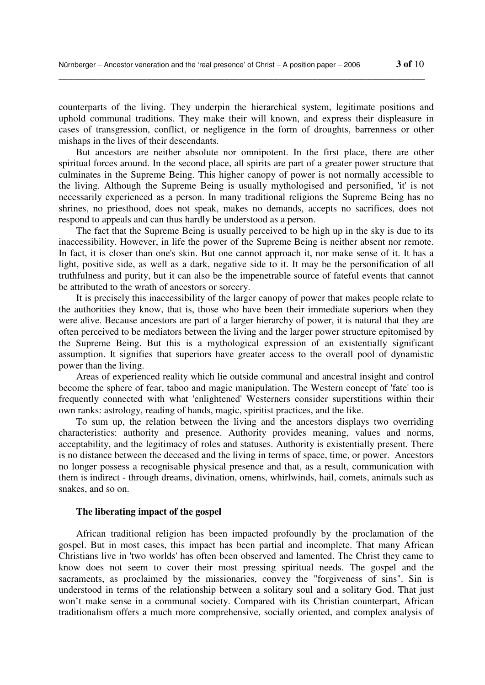counterparts of the living. They underpin the hierarchical system, legitimate positions and uphold communal traditions. They make their will known, and express their displeasure in cases of transgression, conflict, or negligence in the form of droughts, barrenness or other mishaps in the lives of their descendants.

\_\_\_\_\_\_\_\_\_\_\_\_\_\_\_\_\_\_\_\_\_\_\_\_\_\_\_\_\_\_\_\_\_\_\_\_\_\_\_\_\_\_\_\_\_\_\_\_\_\_\_\_\_\_\_\_\_\_\_\_\_\_\_\_\_\_\_\_\_\_\_\_\_\_\_

But ancestors are neither absolute nor omnipotent. In the first place, there are other spiritual forces around. In the second place, all spirits are part of a greater power structure that culminates in the Supreme Being. This higher canopy of power is not normally accessible to the living. Although the Supreme Being is usually mythologised and personified, 'it' is not necessarily experienced as a person. In many traditional religions the Supreme Being has no shrines, no priesthood, does not speak, makes no demands, accepts no sacrifices, does not respond to appeals and can thus hardly be understood as a person.

The fact that the Supreme Being is usually perceived to be high up in the sky is due to its inaccessibility. However, in life the power of the Supreme Being is neither absent nor remote. In fact, it is closer than one's skin. But one cannot approach it, nor make sense of it. It has a light, positive side, as well as a dark, negative side to it. It may be the personification of all truthfulness and purity, but it can also be the impenetrable source of fateful events that cannot be attributed to the wrath of ancestors or sorcery.

It is precisely this inaccessibility of the larger canopy of power that makes people relate to the authorities they know, that is, those who have been their immediate superiors when they were alive. Because ancestors are part of a larger hierarchy of power, it is natural that they are often perceived to be mediators between the living and the larger power structure epitomised by the Supreme Being. But this is a mythological expression of an existentially significant assumption. It signifies that superiors have greater access to the overall pool of dynamistic power than the living.

Areas of experienced reality which lie outside communal and ancestral insight and control become the sphere of fear, taboo and magic manipulation. The Western concept of 'fate' too is frequently connected with what 'enlightened' Westerners consider superstitions within their own ranks: astrology, reading of hands, magic, spiritist practices, and the like.

To sum up, the relation between the living and the ancestors displays two overriding characteristics: authority and presence. Authority provides meaning, values and norms, acceptability, and the legitimacy of roles and statuses. Authority is existentially present. There is no distance between the deceased and the living in terms of space, time, or power. Ancestors no longer possess a recognisable physical presence and that, as a result, communication with them is indirect - through dreams, divination, omens, whirlwinds, hail, comets, animals such as snakes, and so on.

## **The liberating impact of the gospel**

African traditional religion has been impacted profoundly by the proclamation of the gospel. But in most cases, this impact has been partial and incomplete. That many African Christians live in 'two worlds' has often been observed and lamented. The Christ they came to know does not seem to cover their most pressing spiritual needs. The gospel and the sacraments, as proclaimed by the missionaries, convey the "forgiveness of sins". Sin is understood in terms of the relationship between a solitary soul and a solitary God. That just won't make sense in a communal society. Compared with its Christian counterpart, African traditionalism offers a much more comprehensive, socially oriented, and complex analysis of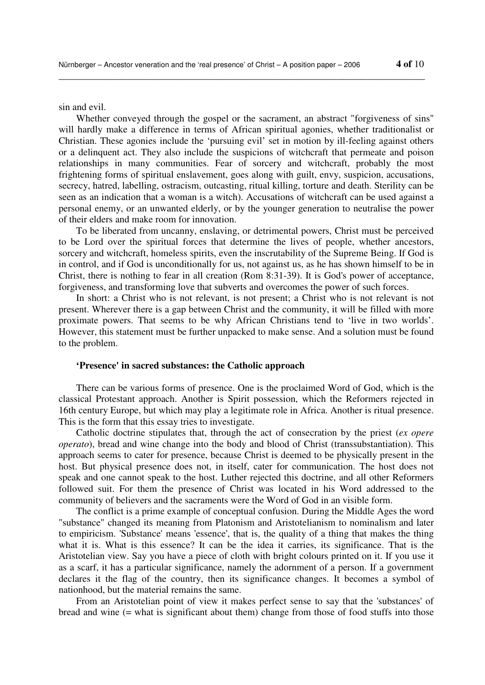sin and evil.

Whether conveyed through the gospel or the sacrament, an abstract "forgiveness of sins" will hardly make a difference in terms of African spiritual agonies, whether traditionalist or Christian. These agonies include the 'pursuing evil' set in motion by ill-feeling against others or a delinquent act. They also include the suspicions of witchcraft that permeate and poison relationships in many communities. Fear of sorcery and witchcraft, probably the most frightening forms of spiritual enslavement, goes along with guilt, envy, suspicion, accusations, secrecy, hatred, labelling, ostracism, outcasting, ritual killing, torture and death. Sterility can be seen as an indication that a woman is a witch). Accusations of witchcraft can be used against a personal enemy, or an unwanted elderly, or by the younger generation to neutralise the power of their elders and make room for innovation.

\_\_\_\_\_\_\_\_\_\_\_\_\_\_\_\_\_\_\_\_\_\_\_\_\_\_\_\_\_\_\_\_\_\_\_\_\_\_\_\_\_\_\_\_\_\_\_\_\_\_\_\_\_\_\_\_\_\_\_\_\_\_\_\_\_\_\_\_\_\_\_\_\_\_\_

To be liberated from uncanny, enslaving, or detrimental powers, Christ must be perceived to be Lord over the spiritual forces that determine the lives of people, whether ancestors, sorcery and witchcraft, homeless spirits, even the inscrutability of the Supreme Being. If God is in control, and if God is unconditionally for us, not against us, as he has shown himself to be in Christ, there is nothing to fear in all creation (Rom 8:31-39). It is God's power of acceptance, forgiveness, and transforming love that subverts and overcomes the power of such forces.

In short: a Christ who is not relevant, is not present; a Christ who is not relevant is not present. Wherever there is a gap between Christ and the community, it will be filled with more proximate powers. That seems to be why African Christians tend to 'live in two worlds'. However, this statement must be further unpacked to make sense. And a solution must be found to the problem.

# **'Presence' in sacred substances: the Catholic approach**

There can be various forms of presence. One is the proclaimed Word of God, which is the classical Protestant approach. Another is Spirit possession, which the Reformers rejected in 16th century Europe, but which may play a legitimate role in Africa. Another is ritual presence. This is the form that this essay tries to investigate.

Catholic doctrine stipulates that, through the act of consecration by the priest (*ex opere operato*), bread and wine change into the body and blood of Christ (transsubstantiation). This approach seems to cater for presence, because Christ is deemed to be physically present in the host. But physical presence does not, in itself, cater for communication. The host does not speak and one cannot speak to the host. Luther rejected this doctrine, and all other Reformers followed suit. For them the presence of Christ was located in his Word addressed to the community of believers and the sacraments were the Word of God in an visible form.

The conflict is a prime example of conceptual confusion. During the Middle Ages the word "substance" changed its meaning from Platonism and Aristotelianism to nominalism and later to empiricism. 'Substance' means 'essence', that is, the quality of a thing that makes the thing what it is. What is this essence? It can be the idea it carries, its significance. That is the Aristotelian view. Say you have a piece of cloth with bright colours printed on it. If you use it as a scarf, it has a particular significance, namely the adornment of a person. If a government declares it the flag of the country, then its significance changes. It becomes a symbol of nationhood, but the material remains the same.

From an Aristotelian point of view it makes perfect sense to say that the 'substances' of bread and wine (= what is significant about them) change from those of food stuffs into those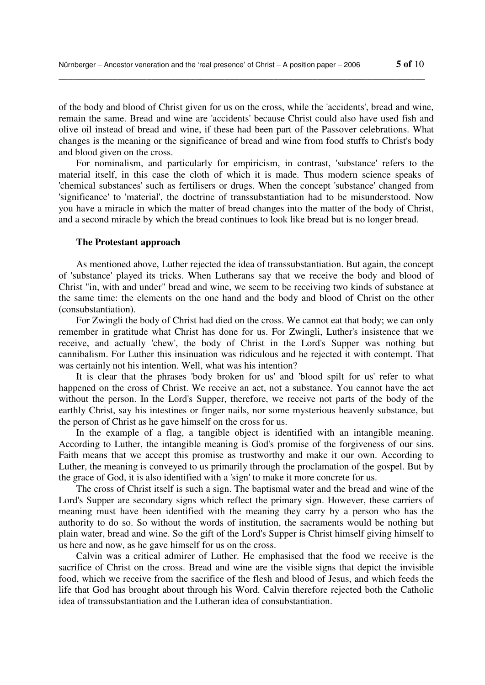of the body and blood of Christ given for us on the cross, while the 'accidents', bread and wine, remain the same. Bread and wine are 'accidents' because Christ could also have used fish and olive oil instead of bread and wine, if these had been part of the Passover celebrations. What changes is the meaning or the significance of bread and wine from food stuffs to Christ's body and blood given on the cross.

\_\_\_\_\_\_\_\_\_\_\_\_\_\_\_\_\_\_\_\_\_\_\_\_\_\_\_\_\_\_\_\_\_\_\_\_\_\_\_\_\_\_\_\_\_\_\_\_\_\_\_\_\_\_\_\_\_\_\_\_\_\_\_\_\_\_\_\_\_\_\_\_\_\_\_

For nominalism, and particularly for empiricism, in contrast, 'substance' refers to the material itself, in this case the cloth of which it is made. Thus modern science speaks of 'chemical substances' such as fertilisers or drugs. When the concept 'substance' changed from 'significance' to 'material', the doctrine of transsubstantiation had to be misunderstood. Now you have a miracle in which the matter of bread changes into the matter of the body of Christ, and a second miracle by which the bread continues to look like bread but is no longer bread.

#### **The Protestant approach**

As mentioned above, Luther rejected the idea of transsubstantiation. But again, the concept of 'substance' played its tricks. When Lutherans say that we receive the body and blood of Christ "in, with and under" bread and wine, we seem to be receiving two kinds of substance at the same time: the elements on the one hand and the body and blood of Christ on the other (consubstantiation).

For Zwingli the body of Christ had died on the cross. We cannot eat that body; we can only remember in gratitude what Christ has done for us. For Zwingli, Luther's insistence that we receive, and actually 'chew', the body of Christ in the Lord's Supper was nothing but cannibalism. For Luther this insinuation was ridiculous and he rejected it with contempt. That was certainly not his intention. Well, what was his intention?

It is clear that the phrases 'body broken for us' and 'blood spilt for us' refer to what happened on the cross of Christ. We receive an act, not a substance. You cannot have the act without the person. In the Lord's Supper, therefore, we receive not parts of the body of the earthly Christ, say his intestines or finger nails, nor some mysterious heavenly substance, but the person of Christ as he gave himself on the cross for us.

In the example of a flag, a tangible object is identified with an intangible meaning. According to Luther, the intangible meaning is God's promise of the forgiveness of our sins. Faith means that we accept this promise as trustworthy and make it our own. According to Luther, the meaning is conveyed to us primarily through the proclamation of the gospel. But by the grace of God, it is also identified with a 'sign' to make it more concrete for us.

The cross of Christ itself is such a sign. The baptismal water and the bread and wine of the Lord's Supper are secondary signs which reflect the primary sign. However, these carriers of meaning must have been identified with the meaning they carry by a person who has the authority to do so. So without the words of institution, the sacraments would be nothing but plain water, bread and wine. So the gift of the Lord's Supper is Christ himself giving himself to us here and now, as he gave himself for us on the cross.

Calvin was a critical admirer of Luther. He emphasised that the food we receive is the sacrifice of Christ on the cross. Bread and wine are the visible signs that depict the invisible food, which we receive from the sacrifice of the flesh and blood of Jesus, and which feeds the life that God has brought about through his Word. Calvin therefore rejected both the Catholic idea of transsubstantiation and the Lutheran idea of consubstantiation.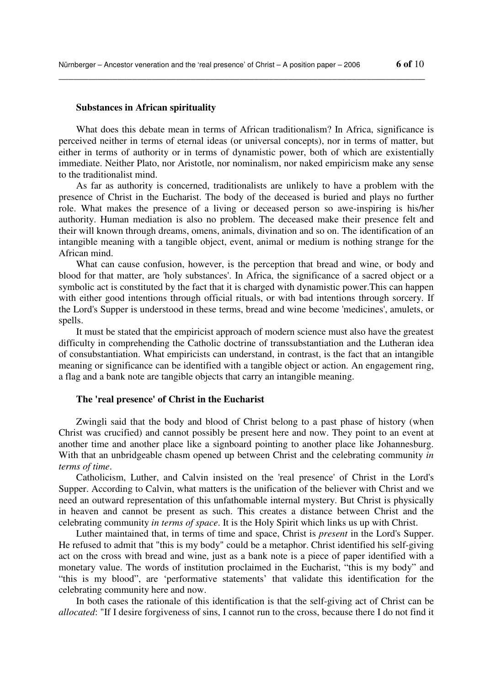### **Substances in African spirituality**

What does this debate mean in terms of African traditionalism? In Africa, significance is perceived neither in terms of eternal ideas (or universal concepts), nor in terms of matter, but either in terms of authority or in terms of dynamistic power, both of which are existentially immediate. Neither Plato, nor Aristotle, nor nominalism, nor naked empiricism make any sense to the traditionalist mind.

\_\_\_\_\_\_\_\_\_\_\_\_\_\_\_\_\_\_\_\_\_\_\_\_\_\_\_\_\_\_\_\_\_\_\_\_\_\_\_\_\_\_\_\_\_\_\_\_\_\_\_\_\_\_\_\_\_\_\_\_\_\_\_\_\_\_\_\_\_\_\_\_\_\_\_

As far as authority is concerned, traditionalists are unlikely to have a problem with the presence of Christ in the Eucharist. The body of the deceased is buried and plays no further role. What makes the presence of a living or deceased person so awe-inspiring is his/her authority. Human mediation is also no problem. The deceased make their presence felt and their will known through dreams, omens, animals, divination and so on. The identification of an intangible meaning with a tangible object, event, animal or medium is nothing strange for the African mind.

What can cause confusion, however, is the perception that bread and wine, or body and blood for that matter, are 'holy substances'. In Africa, the significance of a sacred object or a symbolic act is constituted by the fact that it is charged with dynamistic power.This can happen with either good intentions through official rituals, or with bad intentions through sorcery. If the Lord's Supper is understood in these terms, bread and wine become 'medicines', amulets, or spells.

It must be stated that the empiricist approach of modern science must also have the greatest difficulty in comprehending the Catholic doctrine of transsubstantiation and the Lutheran idea of consubstantiation. What empiricists can understand, in contrast, is the fact that an intangible meaning or significance can be identified with a tangible object or action. An engagement ring, a flag and a bank note are tangible objects that carry an intangible meaning.

## **The 'real presence' of Christ in the Eucharist**

Zwingli said that the body and blood of Christ belong to a past phase of history (when Christ was crucified) and cannot possibly be present here and now. They point to an event at another time and another place like a signboard pointing to another place like Johannesburg. With that an unbridgeable chasm opened up between Christ and the celebrating community *in terms of time*.

Catholicism, Luther, and Calvin insisted on the 'real presence' of Christ in the Lord's Supper. According to Calvin, what matters is the unification of the believer with Christ and we need an outward representation of this unfathomable internal mystery. But Christ is physically in heaven and cannot be present as such. This creates a distance between Christ and the celebrating community *in terms of space*. It is the Holy Spirit which links us up with Christ.

Luther maintained that, in terms of time and space, Christ is *present* in the Lord's Supper. He refused to admit that "this is my body" could be a metaphor. Christ identified his self-giving act on the cross with bread and wine, just as a bank note is a piece of paper identified with a monetary value. The words of institution proclaimed in the Eucharist, "this is my body" and "this is my blood", are 'performative statements' that validate this identification for the celebrating community here and now.

In both cases the rationale of this identification is that the self-giving act of Christ can be *allocated*: "If I desire forgiveness of sins, I cannot run to the cross, because there I do not find it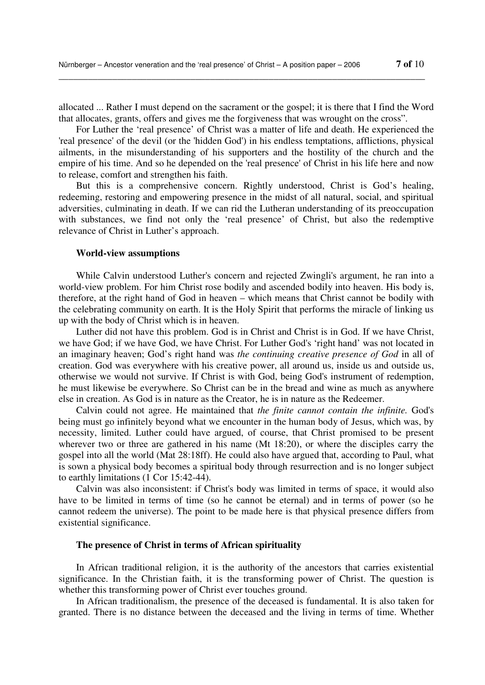allocated ... Rather I must depend on the sacrament or the gospel; it is there that I find the Word that allocates, grants, offers and gives me the forgiveness that was wrought on the cross".

\_\_\_\_\_\_\_\_\_\_\_\_\_\_\_\_\_\_\_\_\_\_\_\_\_\_\_\_\_\_\_\_\_\_\_\_\_\_\_\_\_\_\_\_\_\_\_\_\_\_\_\_\_\_\_\_\_\_\_\_\_\_\_\_\_\_\_\_\_\_\_\_\_\_\_

For Luther the 'real presence' of Christ was a matter of life and death. He experienced the 'real presence' of the devil (or the 'hidden God') in his endless temptations, afflictions, physical ailments, in the misunderstanding of his supporters and the hostility of the church and the empire of his time. And so he depended on the 'real presence' of Christ in his life here and now to release, comfort and strengthen his faith.

But this is a comprehensive concern. Rightly understood, Christ is God's healing, redeeming, restoring and empowering presence in the midst of all natural, social, and spiritual adversities, culminating in death. If we can rid the Lutheran understanding of its preoccupation with substances, we find not only the 'real presence' of Christ, but also the redemptive relevance of Christ in Luther's approach.

## **World-view assumptions**

While Calvin understood Luther's concern and rejected Zwingli's argument, he ran into a world-view problem. For him Christ rose bodily and ascended bodily into heaven. His body is, therefore, at the right hand of God in heaven – which means that Christ cannot be bodily with the celebrating community on earth. It is the Holy Spirit that performs the miracle of linking us up with the body of Christ which is in heaven.

Luther did not have this problem. God is in Christ and Christ is in God. If we have Christ, we have God; if we have God, we have Christ. For Luther God's 'right hand' was not located in an imaginary heaven; God's right hand was *the continuing creative presence of God* in all of creation. God was everywhere with his creative power, all around us, inside us and outside us, otherwise we would not survive. If Christ is with God, being God's instrument of redemption, he must likewise be everywhere. So Christ can be in the bread and wine as much as anywhere else in creation. As God is in nature as the Creator, he is in nature as the Redeemer.

Calvin could not agree. He maintained that *the finite cannot contain the infinite.* God's being must go infinitely beyond what we encounter in the human body of Jesus, which was, by necessity, limited. Luther could have argued, of course, that Christ promised to be present wherever two or three are gathered in his name (Mt 18:20), or where the disciples carry the gospel into all the world (Mat 28:18ff). He could also have argued that, according to Paul, what is sown a physical body becomes a spiritual body through resurrection and is no longer subject to earthly limitations (1 Cor 15:42-44).

Calvin was also inconsistent: if Christ's body was limited in terms of space, it would also have to be limited in terms of time (so he cannot be eternal) and in terms of power (so he cannot redeem the universe). The point to be made here is that physical presence differs from existential significance.

### **The presence of Christ in terms of African spirituality**

In African traditional religion, it is the authority of the ancestors that carries existential significance. In the Christian faith, it is the transforming power of Christ. The question is whether this transforming power of Christ ever touches ground.

In African traditionalism, the presence of the deceased is fundamental. It is also taken for granted. There is no distance between the deceased and the living in terms of time. Whether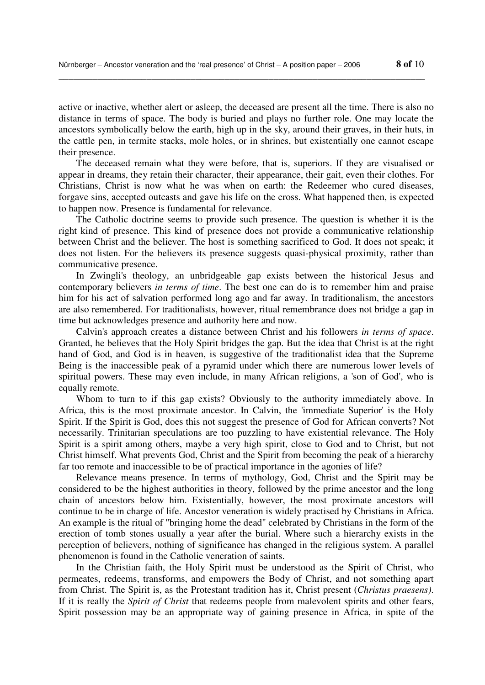active or inactive, whether alert or asleep, the deceased are present all the time. There is also no distance in terms of space. The body is buried and plays no further role. One may locate the ancestors symbolically below the earth, high up in the sky, around their graves, in their huts, in the cattle pen, in termite stacks, mole holes, or in shrines, but existentially one cannot escape their presence.

\_\_\_\_\_\_\_\_\_\_\_\_\_\_\_\_\_\_\_\_\_\_\_\_\_\_\_\_\_\_\_\_\_\_\_\_\_\_\_\_\_\_\_\_\_\_\_\_\_\_\_\_\_\_\_\_\_\_\_\_\_\_\_\_\_\_\_\_\_\_\_\_\_\_\_

The deceased remain what they were before, that is, superiors. If they are visualised or appear in dreams, they retain their character, their appearance, their gait, even their clothes. For Christians, Christ is now what he was when on earth: the Redeemer who cured diseases, forgave sins, accepted outcasts and gave his life on the cross. What happened then, is expected to happen now. Presence is fundamental for relevance.

The Catholic doctrine seems to provide such presence. The question is whether it is the right kind of presence. This kind of presence does not provide a communicative relationship between Christ and the believer. The host is something sacrificed to God. It does not speak; it does not listen. For the believers its presence suggests quasi-physical proximity, rather than communicative presence.

In Zwingli's theology, an unbridgeable gap exists between the historical Jesus and contemporary believers *in terms of time*. The best one can do is to remember him and praise him for his act of salvation performed long ago and far away. In traditionalism, the ancestors are also remembered. For traditionalists, however, ritual remembrance does not bridge a gap in time but acknowledges presence and authority here and now.

Calvin's approach creates a distance between Christ and his followers *in terms of space*. Granted, he believes that the Holy Spirit bridges the gap. But the idea that Christ is at the right hand of God, and God is in heaven, is suggestive of the traditionalist idea that the Supreme Being is the inaccessible peak of a pyramid under which there are numerous lower levels of spiritual powers. These may even include, in many African religions, a 'son of God', who is equally remote.

Whom to turn to if this gap exists? Obviously to the authority immediately above. In Africa, this is the most proximate ancestor. In Calvin, the 'immediate Superior' is the Holy Spirit. If the Spirit is God, does this not suggest the presence of God for African converts? Not necessarily. Trinitarian speculations are too puzzling to have existential relevance. The Holy Spirit is a spirit among others, maybe a very high spirit, close to God and to Christ, but not Christ himself. What prevents God, Christ and the Spirit from becoming the peak of a hierarchy far too remote and inaccessible to be of practical importance in the agonies of life?

Relevance means presence. In terms of mythology, God, Christ and the Spirit may be considered to be the highest authorities in theory, followed by the prime ancestor and the long chain of ancestors below him. Existentially, however, the most proximate ancestors will continue to be in charge of life. Ancestor veneration is widely practised by Christians in Africa. An example is the ritual of "bringing home the dead" celebrated by Christians in the form of the erection of tomb stones usually a year after the burial. Where such a hierarchy exists in the perception of believers, nothing of significance has changed in the religious system. A parallel phenomenon is found in the Catholic veneration of saints.

In the Christian faith, the Holy Spirit must be understood as the Spirit of Christ, who permeates, redeems, transforms, and empowers the Body of Christ, and not something apart from Christ. The Spirit is, as the Protestant tradition has it, Christ present (*Christus praesens)*. If it is really the *Spirit of Christ* that redeems people from malevolent spirits and other fears, Spirit possession may be an appropriate way of gaining presence in Africa, in spite of the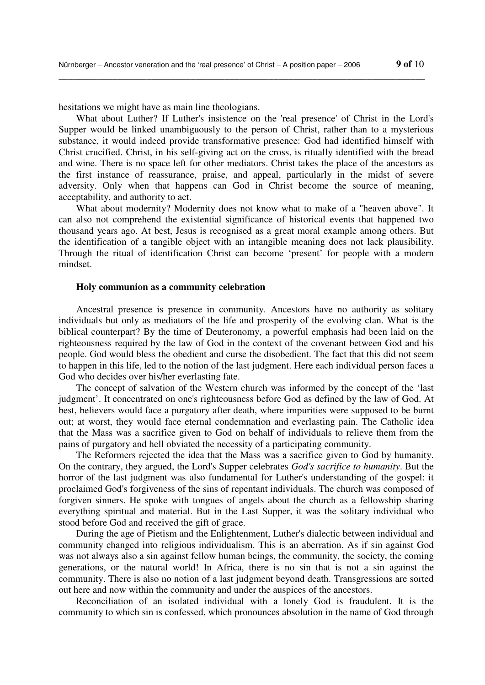hesitations we might have as main line theologians.

What about Luther? If Luther's insistence on the 'real presence' of Christ in the Lord's Supper would be linked unambiguously to the person of Christ, rather than to a mysterious substance, it would indeed provide transformative presence: God had identified himself with Christ crucified. Christ, in his self-giving act on the cross, is ritually identified with the bread and wine. There is no space left for other mediators. Christ takes the place of the ancestors as the first instance of reassurance, praise, and appeal, particularly in the midst of severe adversity. Only when that happens can God in Christ become the source of meaning, acceptability, and authority to act.

\_\_\_\_\_\_\_\_\_\_\_\_\_\_\_\_\_\_\_\_\_\_\_\_\_\_\_\_\_\_\_\_\_\_\_\_\_\_\_\_\_\_\_\_\_\_\_\_\_\_\_\_\_\_\_\_\_\_\_\_\_\_\_\_\_\_\_\_\_\_\_\_\_\_\_

What about modernity? Modernity does not know what to make of a "heaven above". It can also not comprehend the existential significance of historical events that happened two thousand years ago. At best, Jesus is recognised as a great moral example among others. But the identification of a tangible object with an intangible meaning does not lack plausibility. Through the ritual of identification Christ can become 'present' for people with a modern mindset.

### **Holy communion as a community celebration**

Ancestral presence is presence in community. Ancestors have no authority as solitary individuals but only as mediators of the life and prosperity of the evolving clan. What is the biblical counterpart? By the time of Deuteronomy, a powerful emphasis had been laid on the righteousness required by the law of God in the context of the covenant between God and his people. God would bless the obedient and curse the disobedient. The fact that this did not seem to happen in this life, led to the notion of the last judgment. Here each individual person faces a God who decides over his/her everlasting fate.

The concept of salvation of the Western church was informed by the concept of the 'last judgment'. It concentrated on one's righteousness before God as defined by the law of God. At best, believers would face a purgatory after death, where impurities were supposed to be burnt out; at worst, they would face eternal condemnation and everlasting pain. The Catholic idea that the Mass was a sacrifice given to God on behalf of individuals to relieve them from the pains of purgatory and hell obviated the necessity of a participating community.

The Reformers rejected the idea that the Mass was a sacrifice given to God by humanity. On the contrary, they argued, the Lord's Supper celebrates *God's sacrifice to humanity*. But the horror of the last judgment was also fundamental for Luther's understanding of the gospel: it proclaimed God's forgiveness of the sins of repentant individuals. The church was composed of forgiven sinners. He spoke with tongues of angels about the church as a fellowship sharing everything spiritual and material. But in the Last Supper, it was the solitary individual who stood before God and received the gift of grace.

During the age of Pietism and the Enlightenment, Luther's dialectic between individual and community changed into religious individualism. This is an aberration. As if sin against God was not always also a sin against fellow human beings, the community, the society, the coming generations, or the natural world! In Africa, there is no sin that is not a sin against the community. There is also no notion of a last judgment beyond death. Transgressions are sorted out here and now within the community and under the auspices of the ancestors.

Reconciliation of an isolated individual with a lonely God is fraudulent. It is the community to which sin is confessed, which pronounces absolution in the name of God through